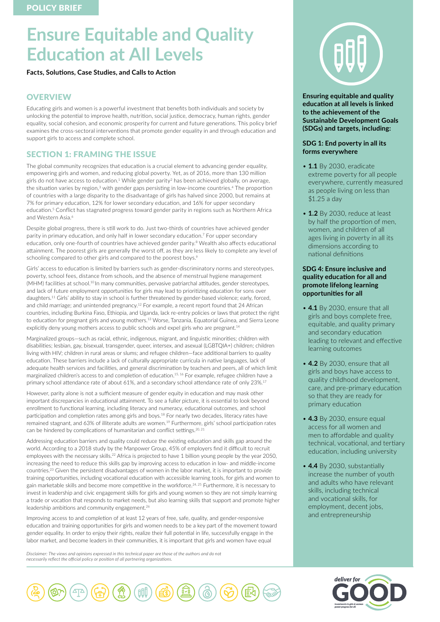# **Ensure Equitable and Quality Education at All Levels**

**Facts, Solutions, Case Studies, and Calls to Action** 

# **OVERVIEW**

Educating girls and women is a powerful investment that benefits both individuals and society by unlocking the potential to improve health, nutrition, social justice, democracy, human rights, gender equality, social cohesion, and economic prosperity for current and future generations. This policy brief examines the cross-sectoral interventions that promote gender equality in and through education and support girls to access and complete school.

# SECTION 1: FRAMING THE ISSUE

The global community recognizes that education is a crucial element to advancing gender equality, empowering girls and women, and reducing global poverty. Yet, as of 2016, more than 130 million girls do not have access to education.<sup>1</sup> While gender parity<sup>2</sup> has been achieved globally, on average, the situation varies by region,<sup>3</sup> with gender gaps persisting in low-income countries.<sup>4</sup> The proportion of countries with a large disparity to the disadvantage of girls has halved since 2000, but remains at 7% for primary education, 12% for lower secondary education, and 16% for upper secondary education.5 Conflict has stagnated progress toward gender parity in regions such as Northern Africa and Western Asia.<sup>6</sup>

Despite global progress, there is still work to do. Just two-thirds of countries have achieved gender parity in primary education, and only half in lower secondary education.7 For upper secondary education, only one-fourth of countries have achieved gender parity.<sup>8</sup> Wealth also affects educational attainment. The poorest girls are generally the worst off, as they are less likely to complete any level of schooling compared to other girls and compared to the poorest boys.<sup>9</sup>

Girls' access to education is limited by barriers such as gender-discriminatory norms and stereotypes, poverty, school fees, distance from schools, and the absence of menstrual hygiene management (MHM) facilities at school.<sup>10</sup> In many communities, pervasive patriarchal attitudes, gender stereotypes, and lack of future employment opportunities for girls may lead to prioritizing education for sons over daughters.11 Girls' ability to stay in school is further threatened by gender-based violence; early, forced, and child marriage; and unintended pregnancy.12 For example, a recent report found that 24 African countries, including Burkina Faso, Ethiopia, and Uganda, lack re-entry policies or laws that protect the right to education for pregnant girls and young mothers.<sup>13</sup> Worse, Tanzania, Equatorial Guinea, and Sierra Leone explicitly deny young mothers access to public schools and expel girls who are pregnant.<sup>14</sup>

Marginalized groups—such as racial, ethnic, indigenous, migrant, and linguistic minorities; children with disabilities; lesbian, gay, bisexual, transgender, queer, intersex, and asexual (LGBTQIA+) children; children living with HIV; children in rural areas or slums; and refugee children—face additional barriers to quality education. These barriers include a lack of culturally appropriate curricula in native languages, lack of adequate health services and facilities, and general discrimination by teachers and peers, all of which limit marginalized children's access to and completion of education.<sup>15, 16</sup> For example, refugee children have a primary school attendance rate of about 61%, and a secondary school attendance rate of only 23%.<sup>17</sup>

However, parity alone is not a sufficient measure of gender equity in education and may mask other important discrepancies in educational attainment. To see a fuller picture, it is essential to look beyond enrollment to functional learning, including literacy and numeracy, educational outcomes, and school participation and completion rates among girls and boys.<sup>18</sup> For nearly two decades, literacy rates have remained stagnant, and 63% of illiterate adults are women.19 Furthermore, girls' school participation rates can be hindered by complications of humanitarian and conflict settings.<sup>20, 21</sup>

Addressing education barriers and quality could reduce the existing education and skills gap around the world. According to a 2018 study by the Manpower Group, 45% of employers find it difficult to recruit employees with the necessary skills.<sup>22</sup> Africa is projected to have 1 billion young people by the year 2050, increasing the need to reduce this skills gap by improving access to education in low- and middle-income countries.23 Given the persistent disadvantages of women in the labor market, it is important to provide training opportunities, including vocational education with accessible learning tools, for girls and women to gain marketable skills and become more competitive in the workforce.<sup>24, 25</sup> Furthermore, it is necessary to invest in leadership and civic engagement skills for girls and young women so they are not simply learning a trade or vocation that responds to market needs, but also learning skills that support and promote higher leadership ambitions and community engagement.26

Improving access to and completion of at least 12 years of free, safe, quality, and gender-responsive education and training opportunities for girls and women needs to be a key part of the movement toward gender equality. In order to enjoy their rights, realize their full potential in life, successfully engage in the labor market, and become leaders in their communities, it is important that girls and women have equal

*Disclaimer: The views and opinions expressed in this technical paper are those of the authors and do not necessarily reflect the official policy or position of all partnering organizations.*



**Ensuring equitable and quality education at all levels is linked to the achievement of the Sustainable Development Goals (SDGs) and targets, including:**

## **SDG 1: End poverty in all its forms everywhere**

- **1.1** By 2030, eradicate extreme poverty for all people everywhere, currently measured as people living on less than \$1.25 a day
- **1.2** By 2030, reduce at least by half the proportion of men, women, and children of all ages living in poverty in all its dimensions according to national definitions

## **SDG 4: Ensure inclusive and quality education for all and promote lifelong learning opportunities for all**

- **4.1** By 2030, ensure that all girls and boys complete free, equitable, and quality primary and secondary education leading to relevant and effective learning outcomes
- **4.2** By 2030, ensure that all girls and boys have access to quality childhood development, care, and pre-primary education so that they are ready for primary education
- **4.3** By 2030, ensure equal access for all women and men to affordable and quality technical, vocational, and tertiary education, including university
- **4.4** By 2030, substantially increase the number of youth and adults who have relevant skills, including technical and vocational skills, for employment, decent jobs, and entrepreneurship



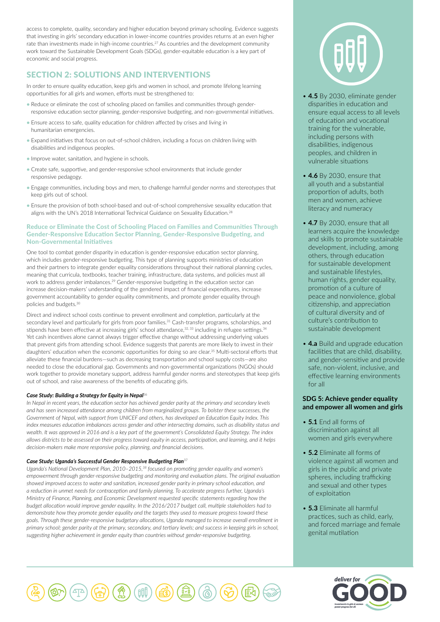access to complete, quality, secondary and higher education beyond primary schooling. Evidence suggests that investing in girls' secondary education in lower-income countries provides returns at an even higher rate than investments made in high-income countries.<sup>27</sup> As countries and the development community work toward the Sustainable Development Goals (SDGs), gender-equitable education is a key part of economic and social progress.

# SECTION 2: SOLUTIONS AND INTERVENTIONS

In order to ensure quality education, keep girls and women in school, and promote lifelong learning opportunities for all girls and women, efforts must be strengthened to:

- Reduce or eliminate the cost of schooling placed on families and communities through genderresponsive education sector planning, gender-responsive budgeting, and non-governmental initiatives.
- Ensure access to safe, quality education for children affected by crises and living in humanitarian emergencies.
- Expand initiatives that focus on out-of-school children, including a focus on children living with disabilities and indigenous peoples.
- Improve water, sanitation, and hygiene in schools.
- Create safe, supportive, and gender-responsive school environments that include gender responsive pedagogy.
- Engage communities, including boys and men, to challenge harmful gender norms and stereotypes that keep girls out of school.
- Ensure the provision of both school-based and out-of-school comprehensive sexuality education that aligns with the UN's 2018 International Technical Guidance on Sexuality Education.28

## Reduce or Eliminate the Cost of Schooling Placed on Families and Communities Through Gender-Responsive Education Sector Planning, Gender-Responsive Budgeting, and Non-Governmental Initiatives

One tool to combat gender disparity in education is gender-responsive education sector planning, which includes gender-responsive budgeting. This type of planning supports ministries of education and their partners to integrate gender equality considerations throughout their national planning cycles, meaning that curricula, textbooks, teacher training, infrastructure, data systems, and policies must all work to address gender imbalances.<sup>29</sup> Gender-responsive budgeting in the education sector can increase decision-makers' understanding of the gendered impact of financial expenditures, increase government accountability to gender equality commitments, and promote gender equality through policies and budgets.30

Direct and indirect school costs continue to prevent enrollment and completion, particularly at the secondary level and particularly for girls from poor families.<sup>31</sup> Cash-transfer programs, scholarships, and stipends have been effective at increasing girls' school attendance,<sup>32, 33</sup> including in refugee settings.<sup>34</sup> Yet cash incentives alone cannot always trigger effective change without addressing underlying values that prevent girls from attending school. Evidence suggests that parents are more likely to invest in their daughters' education when the economic opportunities for doing so are clear.<sup>35</sup> Multi-sectoral efforts that alleviate these financial burdens—such as decreasing transportation and school supply costs—are also needed to close the educational gap. Governments and non-governmental organizations (NGOs) should work together to provide monetary support, address harmful gender norms and stereotypes that keep girls out of school, and raise awareness of the benefits of educating girls.

## *Case Study: Building a Strategy for Equity in Nepal*<sup>36</sup>

*In Nepal in recent years, the education sector has achieved gender parity at the primary and secondary levels and has seen increased attendance among children from marginalized groups. To bolster these successes, the Government of Nepal, with support from UNICEF and others, has developed an Education Equity Index. This index measures education imbalances across gender and other intersecting domains, such as disability status and wealth. It was approved in 2016 and is a key part of the government's Consolidated Equity Strategy. The index allows districts to be assessed on their progress toward equity in access, participation, and learning, and it helps decision-makers make more responsive policy, planning, and financial decisions.* 

## *Case Study: Uganda's Successful Gender Responsive Budgeting Plan*<sup>37</sup>

*Uganda's National Development Plan, 2010–2015,38 focused on promoting gender equality and women's empowerment through gender-responsive budgeting and monitoring and evaluation plans. The original evaluation showed improved access to water and sanitation, increased gender parity in primary school education, and a reduction in unmet needs for contraception and family planning. To accelerate progress further, Uganda's Ministry of Finance, Planning, and Economic Development requested specific statements regarding how the budget allocation would improve gender equality. In the 2016/2017 budget call, multiple stakeholders had to demonstrate how they promote gender equality and the targets they used to measure progress toward these goals. Through these gender-responsive budgetary allocations, Uganda managed to increase overall enrollment in primary school; gender parity at the primary, secondary, and tertiary levels; and success in keeping girls in school, suggesting higher achievement in gender equity than countries without gender-responsive budgeting.*



- **4.5** By 2030, eliminate gender disparities in education and ensure equal access to all levels of education and vocational training for the vulnerable, including persons with disabilities, indigenous peoples, and children in vulnerable situations
- **4.6** By 2030, ensure that all youth and a substantial proportion of adults, both men and women, achieve literacy and numeracy
- **4.7** By 2030, ensure that all learners acquire the knowledge and skills to promote sustainable development, including, among others, through education for sustainable development and sustainable lifestyles, human rights, gender equality, promotion of a culture of peace and nonviolence, global citizenship, and appreciation of cultural diversity and of culture's contribution to sustainable development
- **4.a** Build and upgrade education facilities that are child, disability, and gender-sensitive and provide safe, non-violent, inclusive, and effective learning environments for all

## **SDG 5: Achieve gender equality and empower all women and girls**

- **5.1** End all forms of discrimination against all women and girls everywhere
- **5.2** Eliminate all forms of violence against all women and girls in the public and private spheres, including trafficking and sexual and other types of exploitation
- **5.3** Eliminate all harmful practices, such as child, early, and forced marriage and female genital mutilation



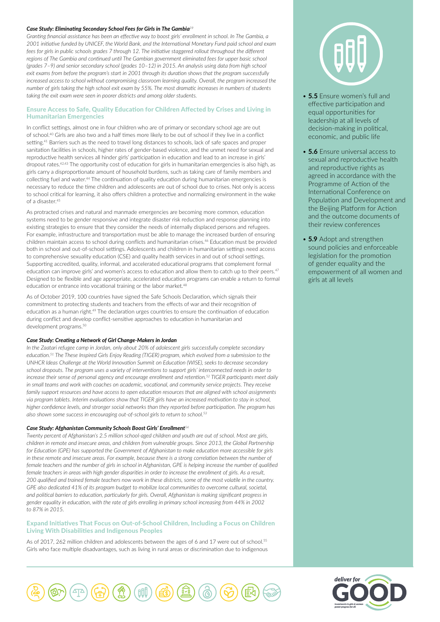#### *Case Study: Eliminating Secondary School Fees for Girls in The Gambia<sup>39</sup>*

*Granting financial assistance has been an effective way to boost girls' enrollment in school. In The Gambia, a 2001 initiative funded by UNICEF, the World Bank, and the International Monetary Fund paid school and exam fees for girls in public schools grades 7 through 12. The initiative staggered rollout throughout the different*  regions of The Gambia and continued until The Gambian government eliminated fees for upper basic school *(grades 7–9) and senior secondary school (grades 10–12) in 2015. An analysis using data from high school exit exams from before the program's start in 2001 through its duration shows that the program successfully increased access to school without compromising classroom learning quality. Overall, the program increased the number of girls taking the high school exit exam by 55%. The most dramatic increases in numbers of students taking the exit exam were seen in poorer districts and among older students.* 

## Ensure Access to Safe, Quality Education for Children Affected by Crises and Living in Humanitarian Emergencies

In conflict settings, almost one in four children who are of primary or secondary school age are out of school.40 Girls are also two and a half times more likely to be out of school if they live in a conflict setting.<sup>41</sup> Barriers such as the need to travel long distances to schools, lack of safe spaces and proper sanitation facilities in schools, higher rates of gender-based violence, and the unmet need for sexual and reproductive health services all hinder girls' participation in education and lead to an increase in girls' dropout rates.<sup>42,43</sup> The opportunity cost of education for girls in humanitarian emergencies is also high, as girls carry a disproportionate amount of household burdens, such as taking care of family members and collecting fuel and water.<sup>44</sup> The continuation of quality education during humanitarian emergencies is necessary to reduce the time children and adolescents are out of school due to crises. Not only is access to school critical for learning, it also offers children a protective and normalizing environment in the wake of a disaster.<sup>45</sup>

As protracted crises and natural and manmade emergencies are becoming more common, education systems need to be gender responsive and integrate disaster risk reduction and response planning into existing strategies to ensure that they consider the needs of internally displaced persons and refugees. For example, infrastructure and transportation must be able to manage the increased burden of ensuring children maintain access to school during conflicts and humanitarian crises.46 Education must be provided both in school and out-of-school settings. Adolescents and children in humanitarian settings need access to comprehensive sexuality education (CSE) and quality health services in and out of school settings. Supporting accredited, quality, informal, and accelerated educational programs that complement formal education can improve girls' and women's access to education and allow them to catch up to their peers.<sup>47</sup> Designed to be flexible and age appropriate, accelerated education programs can enable a return to formal education or entrance into vocational training or the labor market.<sup>48</sup>

As of October 2019, 100 countries have signed the Safe Schools Declaration, which signals their commitment to protecting students and teachers from the effects of war and their recognition of education as a human right.<sup>49</sup> The declaration urges countries to ensure the continuation of education during conflict and develop conflict-sensitive approaches to education in humanitarian and development programs.<sup>50</sup>

#### *Case Study: Creating a Network of Girl Change-Makers in Jordan*

*In the Zaatari refugee camp in Jordan, only about 20% of adolescent girls successfully complete secondary education.51 The These Inspired Girls Enjoy Reading (TIGER) program, which evolved from a submission to the UNHCR Ideas Challenge at the World Innovation Summit on Education (WISE), seeks to decrease secondary school dropouts. The program uses a variety of interventions to support girls' interconnected needs in order to increase their sense of personal agency and encourage enrollment and retention.52 TIGER participants meet daily in small teams and work with coaches on academic, vocational, and community service projects. They receive family support resources and have access to open education resources that are aligned with school assignments via program tablets. Interim evaluations show that TIGER girls have an increased motivation to stay in school, higher confidence levels, and stronger social networks than they reported before participation. The program has also shown some success in encouraging out-of-school girls to return to school.53*

#### *Case Study: Afghanistan Community Schools Boost Girls' Enrollment<sup>54</sup>*

*Twenty percent of Afghanistan's 2.5 million school-aged children and youth are out of school. Most are girls, children in remote and insecure areas, and children from vulnerable groups. Since 2013, the Global Partnership for Education (GPE) has supported the Government of Afghanistan to make education more accessible for girls in these remote and insecure areas. For example, because there is a strong correlation between the number of female teachers and the number of girls in school in Afghanistan, GPE is helping increase the number of qualified female teachers in areas with high gender disparities in order to increase the enrollment of girls. As a result, 200 qualified and trained female teachers now work in these districts, some of the most volatile in the country. GPE also dedicated 41% of its program budget to mobilize local communities to overcome cultural, societal, and political barriers to education, particularly for girls. Overall, Afghanistan is making significant progress in gender equality in education, with the rate of girls enrolling in primary school increasing from 44% in 2002 to 87% in 2015.*

## Expand Initiatives That Focus on Out-of-School Children, Including a Focus on Children Living With Disabilities and Indigenous Peoples

As of 2017, 262 million children and adolescents between the ages of 6 and 17 were out of school.<sup>55</sup> Girls who face multiple disadvantages, such as living in rural areas or discrimination due to indigenous





- **5.5** Ensure women's full and effective participation and equal opportunities for leadership at all levels of decision-making in political, economic, and public life
- **5.6** Ensure universal access to sexual and reproductive health and reproductive rights as agreed in accordance with the Programme of Action of the International Conference on Population and Development and the Beijing Platform for Action and the outcome documents of their review conferences
- **5.9** Adopt and strengthen sound policies and enforceable legislation for the promotion of gender equality and the empowerment of all women and girls at all levels

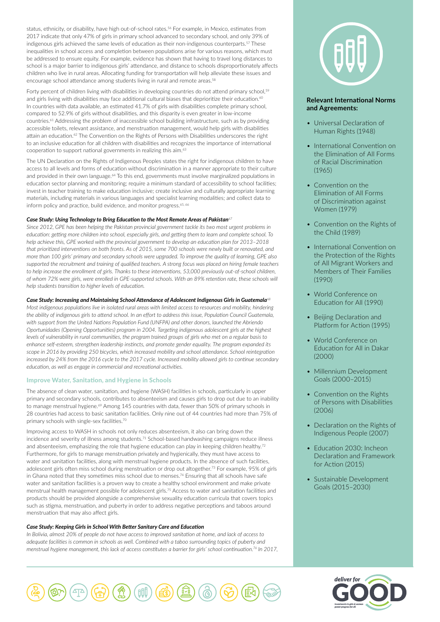status, ethnicity, or disability, have high out-of-school rates.56 For example, in Mexico, estimates from 2017 indicate that only 47% of girls in primary school advanced to secondary school, and only 39% of indigenous girls achieved the same levels of education as their non-indigenous counterparts.<sup>57</sup> These inequalities in school access and completion between populations arise for various reasons, which must be addressed to ensure equity. For example, evidence has shown that having to travel long distances to school is a major barrier to indigenous girls' attendance, and distance to schools disproportionately affects children who live in rural areas. Allocating funding for transportation will help alleviate these issues and encourage school attendance among students living in rural and remote areas.<sup>58</sup>

Forty percent of children living with disabilities in developing countries do not attend primary school,<sup>59</sup> and girls living with disabilities may face additional cultural biases that deprioritize their education.<sup>60</sup> In countries with data available, an estimated 41.7% of girls with disabilities complete primary school, compared to 52.9% of girls without disabilities, and this disparity is even greater in low-income countries.61 Addressing the problem of inaccessible school building infrastructure, such as by providing accessible toilets, relevant assistance, and menstruation management, would help girls with disabilities attain an education.<sup>62</sup> The Convention on the Rights of Persons with Disabilities underscores the right to an inclusive education for all children with disabilities and recognizes the importance of international cooperation to support national governments in realizing this aim.<sup>63</sup>

The UN Declaration on the Rights of Indigenous Peoples states the right for indigenous children to have access to all levels and forms of education without discrimination in a manner appropriate to their culture and provided in their own language.<sup>64</sup> To this end, governments must involve marginalized populations in education sector planning and monitoring; require a minimum standard of accessibility to school facilities; invest in teacher training to make education inclusive; create inclusive and culturally appropriate learning materials, including materials in various languages and specialist learning modalities; and collect data to inform policy and practice, build evidence, and monitor progress.<sup>65, 66</sup>

#### *Case Study: Using Technology to Bring Education to the Most Remote Areas of Pakistan<sup>67</sup>*

*Since 2012, GPE has been helping the Pakistan provincial government tackle its two most urgent problems in education: getting more children into school, especially girls, and getting them to learn and complete school. To help achieve this, GPE worked with the provincial government to develop an education plan for 2013–2018 that prioritized interventions on both fronts. As of 2015, some 700 schools were newly built or renovated, and more than 100 girls' primary and secondary schools were upgraded. To improve the quality of learning, GPE also supported the recruitment and training of qualified teachers. A strong focus was placed on hiring female teachers*  to help increase the enrollment of girls. Thanks to these interventions, 53,000 previously out-of-school children, *of whom 72% were girls, were enrolled in GPE-supported schools. With an 89% retention rate, these schools will help students transition to higher levels of education.*

#### *Case Study: Increasing and Maintaining School Attendance of Adolescent Indigenous Girls in Guatemala<sup>68</sup>*

*Most indigenous populations live in isolated rural areas with limited access to resources and mobility, hindering the ability of indigenous girls to attend school. In an effort to address this issue, Population Council Guatemala, with support from the United Nations Population Fund (UNFPA) and other donors, launched the Abriendo Oportunidades (Opening Opportunities) program in 2004. Targeting indigenous adolescent girls at the highest levels of vulnerability in rural communities, the program trained groups of girls who met on a regular basis to enhance self-esteem, strengthen leadership instincts, and promote gender equality. The program expanded its scope in 2016 by providing 250 bicycles, which increased mobility and school attendance. School reintegration increased by 24% from the 2016 cycle to the 2017 cycle. Increased mobility allowed girls to continue secondary education, as well as engage in commercial and recreational activities.*

#### Improve Water, Sanitation, and Hygiene in Schools

The absence of clean water, sanitation, and hygiene (WASH) facilities in schools, particularly in upper primary and secondary schools, contributes to absenteeism and causes girls to drop out due to an inability to manage menstrual hygiene.<sup>69</sup> Among 145 countries with data, fewer than 50% of primary schools in 28 countries had access to basic sanitation facilities. Only nine out of 44 countries had more than 75% of primary schools with single-sex facilities.70

Improving access to WASH in schools not only reduces absenteeism, it also can bring down the incidence and severity of illness among students.71 School-based handwashing campaigns reduce illness and absenteeism, emphasizing the role that hygiene education can play in keeping children healthy.72 Furthermore, for girls to manage menstruation privately and hygienically, they must have access to water and sanitation facilities, along with menstrual hygiene products. In the absence of such facilities, adolescent girls often miss school during menstruation or drop out altogether.73 For example, 95% of girls in Ghana noted that they sometimes miss school due to menses.<sup>74</sup> Ensuring that all schools have safe water and sanitation facilities is a proven way to create a healthy school environment and make private menstrual health management possible for adolescent girls.75 Access to water and sanitation facilities and products should be provided alongside a comprehensive sexuality education curricula that covers topics such as stigma, menstruation, and puberty in order to address negative perceptions and taboos around menstruation that may also affect girls.

#### *Case Study: Keeping Girls in School With Better Sanitary Care and Education*

*In Bolivia, almost 20% of people do not have access to improved sanitation at home, and lack of access to adequate facilities is common in schools as well. Combined with a taboo surrounding topics of puberty and menstrual hygiene management, this lack of access constitutes a barrier for girls' school continuation.76 In 2017,* 



## **Relevant International Norms and Agreements:**

- Universal Declaration of Human Rights (1948)
- International Convention on the Elimination of All Forms of Racial Discrimination (1965)
- Convention on the Elimination of All Forms of Discrimination against Women (1979)
- Convention on the Rights of the Child (1989)
- International Convention on the Protection of the Rights of All Migrant Workers and Members of Their Families (1990)
- World Conference on Education for All (1990)
- Beijing Declaration and Platform for Action (1995)
- World Conference on Education for All in Dakar (2000)
- Millennium Development Goals (2000–2015)
- Convention on the Rights of Persons with Disabilities (2006)
- Declaration on the Rights of Indigenous People (2007)
- Education 2030: Incheon Declaration and Framework for Action (2015)
- Sustainable Development Goals (2015–2030)



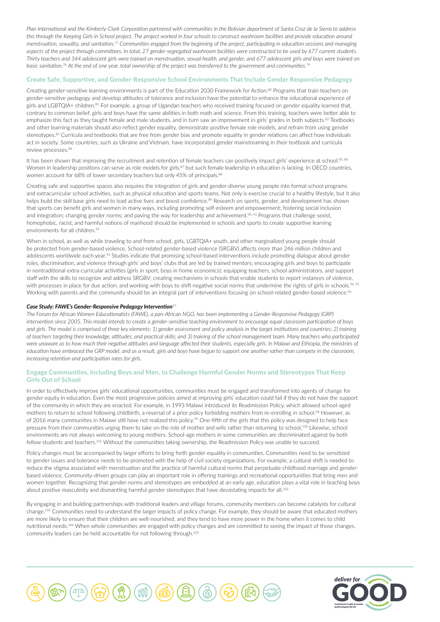*Plan International and the Kimberly-Clark Corporation partnered with communities in the Bolivian department of Santa Cruz de la Sierra to address this through the Keeping Girls in School project. The project worked in four schools to construct washroom facilities and provide education around menstruation, sexuality, and sanitation.77 Communities engaged from the beginning of the project, participating in education sessions and managing aspects of the project through committees. In total, 27 gender-segregated washroom facilities were constructed to be used by 677 current students. Thirty teachers and 344 adolescent girls were trained on menstruation, sexual health, and gender, and 677 adolescent girls and boys were trained on basic sanitation.78 At the end of one year, total ownership of the project was transferred to the government and communities.79*

#### Create Safe, Supportive, and Gender-Responsive School Environments That Include Gender Responsive Pedagogy

Creating gender-sensitive learning environments is part of the Education 2030 Framework for Action.<sup>80</sup> Programs that train teachers on gender-sensitive pedagogy and develop attitudes of tolerance and inclusion have the potential to enhance the educational experience of girls and LGBTQIA+ children.<sup>81</sup> For example, a group of Ugandan teachers who received training focused on gender equality learned that, contrary to common belief, girls and boys have the same abilities in both math and science. From this training, teachers were better able to emphasize this fact as they taught female and male students, and in turn saw an improvement in girls' grades in both subjects.<sup>82</sup> Textbooks and other learning materials should also reflect gender equality, demonstrate positive female role models, and refrain from using gender stereotypes.<sup>83</sup> Curricula and textbooks that are free from gender bias and promote equality in gender relations can affect how individuals act in society. Some countries, such as Ukraine and Vietnam, have incorporated gender mainstreaming in their textbook and curricula review processes.<sup>84</sup>

It has been shown that improving the recruitment and retention of female teachers can positively impact girls' experience at school.<sup>85, 86</sup> Women in leadership positions can serve as role models for girls,<sup>87</sup> but such female leadership in education is lacking. In OECD countries, women account for 68% of lower secondary teachers but only 45% of principals.<sup>88</sup>

Creating safe and supportive spaces also requires the integration of girls and gender-diverse young people into formal school programs and extracurricular school activities, such as physical education and sports teams. Not only is exercise crucial to a healthy lifestyle, but it also helps build the skill base girls need to lead active lives and boost confidence.<sup>89</sup> Research on sports, gender, and development has shown that sports can benefit girls and women in many ways, including promoting self-esteem and empowerment; fostering social inclusion and integration; changing gender norms; and paving the way for leadership and achievement.<sup>90, 91</sup> Programs that challenge sexist, homophobic, racist, and harmful notions of manhood should be implemented in schools and sports to create supportive learning environments for all children.<sup>92</sup>

When in school, as well as while traveling to and from school, girls, LGBTQIA+ youth, and other marginalized young people should be protected from gender-based violence. School-related gender-based violence (SRGBV) affects more than 246 million children and adolescents worldwide each year.<sup>93</sup> Studies indicate that promising school-based interventions include promoting dialogue about gender roles, discrimination, and violence through girls' and boys' clubs that are led by trained mentors; encouraging girls and boys to participate in nontraditional extra-curricular activities (girls in sport, boys in home economics); equipping teachers, school administrators, and support staff with the skills to recognize and address SRGBV; creating mechanisms in schools that enable students to report instances of violence, with processes in place for due action; and working with boys to shift negative social norms that undermine the rights of girls in schools.<sup>94, 95</sup> Working with parents and the community should be an integral part of interventions focusing on school-related gender-based violence.<sup>96</sup>

#### *Case Study: FAWE's Gender-Responsive Pedagogy Intervention<sup>97</sup>*

*The Forum for African Women Educationalists (FAWE), a pan-African NGO, has been implementing a Gender-Responsive Pedagogy (GRP) intervention since 2005. This model intends to create a gender-sensitive teaching environment to encourage equal classroom participation of boys and girls. The model is comprised of three key elements: 1) gender assessment and policy analysis in the target institutions and countries; 2) training of teachers targeting their knowledge, attitudes, and practical skills; and 3) training of the school management team. Many teachers who participated were unaware as to how much their negative attitudes and language affected their students, especially girls. In Malawi and Ethiopia, the ministries of education have embraced the GRP model, and as a result, girls and boys have begun to support one another rather than compete in the classroom, increasing retention and participation rates for girls.* 

## Engage Communities, Including Boys and Men, to Challenge Harmful Gender Norms and Stereotypes That Keep Girls Out of School

In order to effectively improve girls' educational opportunities, communities must be engaged and transformed into agents of change for gender equity in education. Even the most progressive policies aimed at improving girls' education could fail if they do not have the support of the community in which they are enacted. For example, in 1993 Malawi introduced its Readmission Policy, which allowed school-aged mothers to return to school following childbirth, a reversal of a prior policy forbidding mothers from re-enrolling in school.<sup>98</sup> However, as of 2016 many communities in Malawi still have not realized this policy.<sup>99</sup> One-fifth of the girls that this policy was designed to help face pressure from their communities urging them to take on the role of mother and wife rather than returning to school.<sup>100</sup> Likewise, school environments are not always welcoming to young mothers. School-age mothers in some communities are discriminated against by both fellow students and teachers.101 Without the communities taking ownership, the Readmission Policy was unable to succeed.

Policy changes must be accompanied by larger efforts to bring forth gender equality in communities. Communities need to be sensitized to gender issues and tolerance needs to be promoted with the help of civil society organizations. For example, a cultural shift is needed to reduce the stigma associated with menstruation and the practice of harmful cultural norms that perpetuate childhood marriage and genderbased violence. Community-driven groups can play an important role in offering trainings and recreational opportunities that bring men and women together. Recognizing that gender norms and stereotypes are embedded at an early age, education plays a vital role in teaching boys about positive masculinity and dismantling harmful gender stereotypes that have devastating impacts for all.<sup>102</sup>

By engaging in and building partnerships with traditional leaders and village forums, community members can become catalysts for cultural change.103 Communities need to understand the larger impacts of policy change. For example, they should be aware that educated mothers are more likely to ensure that their children are well-nourished, and they tend to have more power in the home when it comes to child nutritional needs.104 When whole communities are engaged with policy changes and are committed to seeing the impact of those changes, community leaders can be held accountable for not following through.105



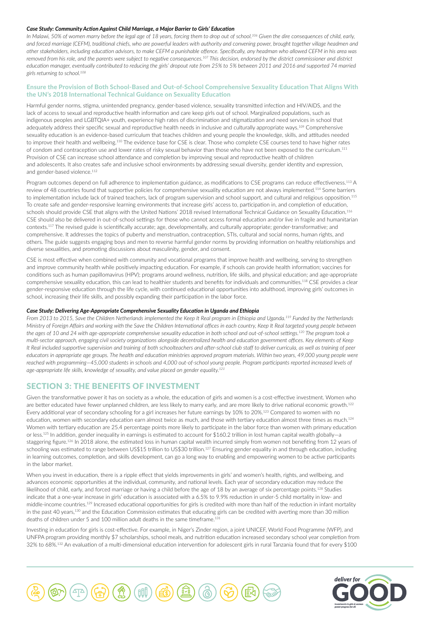#### *Case Study: Community Action Against Child Marriage, a Major Barrier to Girls' Education*

*In Malawi, 50% of women marry before the legal age of 18 years, forcing them to drop out of school.106 Given the dire consequences of child, early, and forced marriage (CEFM), traditional chiefs, who are powerful leaders with authority and convening power, brought together village headmen and other stakeholders, including education advisors, to make CEFM a punishable offence. Specifically, any headman who allowed CEFM in his area was removed from his role, and the parents were subject to negative consequences.107 This decision, endorsed by the district commissioner and district education manager, eventually contributed to reducing the girls' dropout rate from 25% to 5% between 2011 and 2016 and supported 74 married girls returning to school.108*

## Ensure the Provision of Both School-Based and Out-of-School Comprehensive Sexuality Education That Aligns With the UN's 2018 International Technical Guidance on Sexuality Education

Harmful gender norms, stigma, unintended pregnancy, gender-based violence, sexuality transmitted infection and HIV/AIDS, and the lack of access to sexual and reproductive health information and care keep girls out of school. Marginalized populations, such as indigenous peoples and LGBTQIA+ youth, experience high rates of discrimination and stigmatization and need services in school that adequately address their specific sexual and reproductive health needs in inclusive and culturally appropriate ways.<sup>109</sup> Comprehensive sexuality education is an evidence-based curriculum that teaches children and young people the knowledge, skills, and attitudes needed to improve their health and wellbeing.<sup>110</sup> The evidence base for CSE is clear. Those who complete CSE courses tend to have higher rates of condom and contraception use and lower rates of risky sexual behavior than those who have not been exposed to the curriculum.111 Provision of CSE can increase school attendance and completion by improving sexual and reproductive health of children and adolescents. It also creates safe and inclusive school environments by addressing sexual diversity, gender identity and expression, and gender-based violence.<sup>112</sup>

Program outcomes depend on full adherence to implementation guidance, as modifications to CSE programs can reduce effectiveness.<sup>113</sup> A review of 48 countries found that supportive policies for comprehensive sexuality education are not always implemented.<sup>114</sup> Some barriers to implementation include lack of trained teachers, lack of program supervision and school support, and cultural and religious opposition.<sup>115</sup> To create safe and gender-responsive learning environments that increase girls' access to, participation in, and completion of education, schools should provide CSE that aligns with the United Nations' 2018 revised International Technical Guidance on Sexuality Education.116 CSE should also be delivered in out-of-school settings for those who cannot access formal education and/or live in fragile and humanitarian contexts.117 The revised guide is scientifically accurate; age, developmentally, and culturally appropriate; gender-transformative; and comprehensive. It addresses the topics of puberty and menstruation, contraception, STIs, cultural and social norms, human rights, and others. The guide suggests engaging boys and men to reverse harmful gender norms by providing information on healthy relationships and diverse sexualities, and promoting discussions about masculinity, gender, and consent.

CSE is most effective when combined with community and vocational programs that improve health and wellbeing, serving to strengthen and improve community health while positively impacting education. For example, if schools can provide health information; vaccines for conditions such as human papillomavirus (HPV); programs around wellness, nutrition, life skills, and physical education; and age-appropriate comprehensive sexuality education, this can lead to healthier students and benefits for individuals and communities.118 CSE provides a clear gender-responsive education through the life cycle, with continued educational opportunities into adulthood, improving girls' outcomes in school, increasing their life skills, and possibly expanding their participation in the labor force.

### *Case Study: Delivering Age-Appropriate Comprehensive Sexuality Education in Uganda and Ethiopia*

*From 2013 to 2015, Save the Children Netherlands implemented the Keep It Real program in Ethiopia and Uganda.119 Funded by the Netherlands Ministry of Foreign Affairs and working with the Save the Children International offices in each country, Keep It Real targeted young people between the ages of 10 and 24 with age-appropriate comprehensive sexuality education in both school and out-of-school settings.120 The program took a multi-sector approach, engaging civil society organizations alongside decentralized health and education government offices. Key elements of Keep It Real included supportive supervision and training of both schoolteachers and after-school club staff to deliver curricula, as well as training of peer educators in appropriate age groups. The health and education ministries approved program materials. Within two years, 49,000 young people were reached with programming—45,000 students in schools and 4,000 out-of-school young people. Program participants reported increased levels of age-appropriate life skills, knowledge of sexuality, and value placed on gender equality.121*

## SECTION 3: THE BENEFITS OF INVESTMENT

Given the transformative power it has on society as a whole, the education of girls and women is a cost-effective investment. Women who are better educated have fewer unplanned children, are less likely to marry early, and are more likely to drive national economic growth.<sup>122</sup> Every additional year of secondary schooling for a girl increases her future earnings by 10% to 20%.123 Compared to women with no education, women with secondary education earn almost twice as much, and those with tertiary education almost three times as much.124 Women with tertiary education are 25.4 percentage points more likely to participate in the labor force than women with primary education or less.<sup>125</sup> In addition, gender inequality in earnings is estimated to account for \$160.2 trillion in lost human capital wealth globally—a staggering figure.<sup>126</sup> In 2018 alone, the estimated loss in human capital wealth incurred simply from women not benefiting from 12 years of schooling was estimated to range between US\$15 trillion to US\$30 trillion.<sup>127</sup> Ensuring gender equality in and through education, including in learning outcomes, completion, and skills development, can go a long way to enabling and empowering women to be active participants in the labor market.

When you invest in education, there is a ripple effect that yields improvements in girls' and women's health, rights, and wellbeing, and advances economic opportunities at the individual, community, and national levels. Each year of secondary education may reduce the likelihood of child, early, and forced marriage or having a child before the age of 18 by an average of six percentage points.<sup>128</sup> Studies indicate that a one-year increase in girls' education is associated with a 6.5% to 9.9% reduction in under-5 child mortality in low- and middle-income countries.129 Increased educational opportunities for girls is credited with more than half of the reduction in infant mortality in the past 40 years,<sup>130</sup> and the Education Commission estimates that educating girls can be credited with averting more than 30 million deaths of children under 5 and 100 million adult deaths in the same timeframe.131

Investing in education for girls is cost-effective. For example, in Niger's Zinder region, a joint UNICEF, World Food Programme (WFP), and UNFPA program providing monthly \$7 scholarships, school meals, and nutrition education increased secondary school year completion from 32% to 68%.132 An evaluation of a multi-dimensional education intervention for adolescent girls in rural Tanzania found that for every \$100



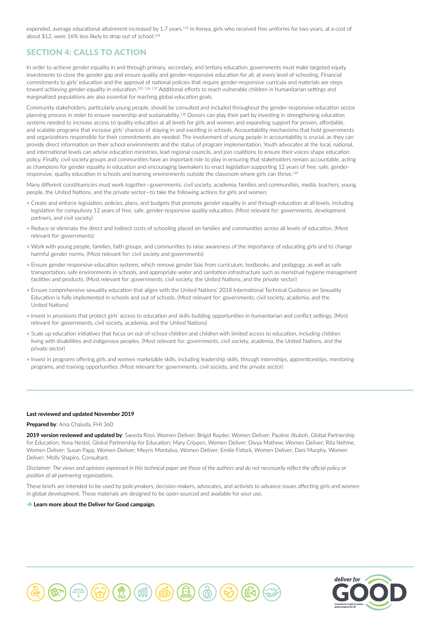expended, average educational attainment increased by 1.7 years.<sup>133</sup> In Kenya, girls who received free uniforms for two years, at a cost of about \$12, were 16% less likely to drop out of school.<sup>134</sup>

## SECTION 4: CALLS TO ACTION

In order to achieve gender equality in and through primary, secondary, and tertiary education, governments must make targeted equity investments to close the gender gap and ensure quality and gender-responsive education for all, at every level of schooling. Financial commitments to girls' education and the approval of national policies that require gender-responsive curricula and materials are steps toward achieving gender equality in education.<sup>135, 136, 137</sup> Additional efforts to reach vulnerable children in humanitarian settings and marginalized populations are also essential for reaching global education goals.

Community stakeholders, particularly young people, should be consulted and included throughout the gender-responsive education sector planning process in order to ensure ownership and sustainability.<sup>138</sup> Donors can play their part by investing in strengthening education systems needed to increase access to quality education at all levels for girls and women and expanding support for proven, affordable, and scalable programs that increase girls' chances of staying in and excelling in schools. Accountability mechanisms that hold governments and organizations responsible for their commitments are needed. The involvement of young people in accountability is crucial, as they can provide direct information on their school environments and the status of program implementation. Youth advocates at the local, national, and international levels can advise education ministries, lead regional councils, and join coalitions to ensure their voices shape education policy. Finally, civil society groups and communities have an important role to play in ensuring that stakeholders remain accountable, acting as champions for gender equality in education and encouraging lawmakers to enact legislation supporting 12 years of free, safe, genderresponsive, quality education in schools and learning environments outside the classroom where girls can thrive.<sup>13</sup>

Many different constituencies must work together—governments, civil society, academia, families and communities, media, teachers, young people, the United Nations, and the private sector—to take the following actions for girls and women:

- Create and enforce legislation, policies, plans, and budgets that promote gender equality in and through education at all levels, including legislation for compulsory 12 years of free, safe, gender-responsive quality education. (Most relevant for: governments, development partners, and civil society)
- Reduce or eliminate the direct and indirect costs of schooling placed on families and communities across all levels of education. (Most relevant for: governments)
- Work with young people, families, faith groups, and communities to raise awareness of the importance of educating girls and to change harmful gender norms. (Most relevant for: civil society and governments)
- Ensure gender-responsive education systems, which remove gender bias from curriculum, textbooks, and pedagogy, as well as safe transportation, safe environments in schools, and appropriate water and sanitation infrastructure such as menstrual hygiene management facilities and products. (Most relevant for: governments, civil society, the United Nations, and the private sector)
- Ensure comprehensive sexuality education that aligns with the United Nations' 2018 International Technical Guidance on Sexuality Education is fully implemented in schools and out of schools. (Most relevant for: governments, civil society, academia, and the United Nations)
- Invest in provisions that protect girls' access to education and skills-building opportunities in humanitarian and conflict settings. (Most relevant for: governments, civil society, academia, and the United Nations)
- Scale up education initiatives that focus on out-of-school children and children with limited access to education, including children living with disabilities and indigenous peoples. (Most relevant for: governments, civil society, academia, the United Nations, and the private sector)
- Invest in programs offering girls and women marketable skills, including leadership skills, through internships, apprenticeships, mentoring programs, and training opportunities. (Most relevant for: governments, civil society, and the private sector)

#### **Last reviewed and updated November 2019**

**Prepared by**: Ania Chaluda, FHI 360

**2019 version reviewed and updated by**: Saeeda Rizvi, Women Deliver; Brigid Rayder, Women Deliver; Pauline Jituboh, Global Partnership for Education; Yona Nestel, Global Partnership for Education; Mary Crippen, Women Deliver; Divya Mathew, Women Deliver; Rita Nehme, Women Deliver; Susan Papp, Women Deliver; Meyris Montalvo, Women Deliver; Emilie Fidock, Women Deliver; Dani Murphy, Women Deliver; Molly Shapiro, Consultant.

*Disclaimer: The views and opinions expressed in this technical paper are those of the authors and do not necessarily reflect the official policy or position of all partnering organizations.*

These briefs are intended to be used by policymakers, decision-makers, advocates, and activists to advance issues affecting girls and women in global development. These materials are designed to be open-sourced and available for your use.

**a** [Learn more about the Deliver for Good campaign.](http://www.deliverforgood.org/)



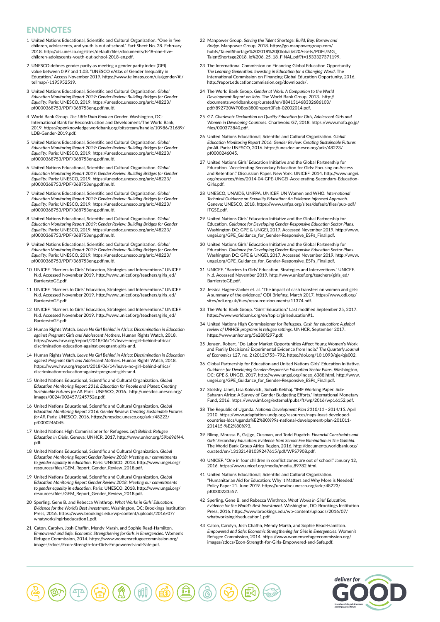## ENDNOTES

- 1 United Nations Educational, Scientific and Cultural Organization. "One in five children, adolescents, and youth is out of school." Fact Sheet No. 28. February 2018. http://uis.unesco.org/sites/default/files/documents/fs48-one-fivechildren-adolescents-youth-out-school-2018-en.pdf.
- 2 UNESCO defines gender parity as meeting a gender parity index (GPI) value between 0.97 and 1.03. "UNESCO eAtlas of Gender Inequality in Education." Access November 2019. https://www.tellmaps.com/uis/gender/#!/ tellmap/-1195952519.
- 3 United Nations Educational, Scientific and Cultural Organization. *Global Education Monitoring Report 2019: Gender Review: Building Bridges for Gender Equality*. Paris: UNESCO, 2019. https://unesdoc.unesco.org/ark:/48223/ pf0000368753/PDF/368753eng.pdf.multi.
- 4 World Bank Group. *The Little Data Book on Gender*. Washington, DC: International Bank for Reconstruction and Development/The World Bank, 2019. https://openknowledge.worldbank.org/bitstream/handle/10986/31689/ LDB-Gender-2019.pdf.
- 5 United Nations Educational, Scientific and Cultural Organization. *Global Education Monitoring Report 2019: Gender Review: Building Bridges for Gender Equality*. Paris: UNESCO, 2019. https://unesdoc.unesco.org/ark:/48223/ pf0000368753/PDF/368753eng.pdf.multi.
- 6 United Nations Educational, Scientific and Cultural Organization. *Global Education Monitoring Report 2019: Gender Review: Building Bridges for Gender Equality*. Paris: UNESCO, 2019. https://unesdoc.unesco.org/ark:/48223/ pf0000368753/PDF/368753eng.pdf.multi.
- 7 United Nations Educational, Scientific and Cultural Organization. *Global Education Monitoring Report 2019: Gender Review: Building Bridges for Gender Equality*. Paris: UNESCO, 2019. https://unesdoc.unesco.org/ark:/48223/ pf0000368753/PDF/368753eng.pdf.multi.
- 8 United Nations Educational, Scientific and Cultural Organization. *Global Education Monitoring Report 2019: Gender Review: Building Bridges for Gender Equality*. Paris: UNESCO, 2019. https://unesdoc.unesco.org/ark:/48223/ pf0000368753/PDF/368753eng.pdf.multi.
- 9 United Nations Educational, Scientific and Cultural Organization. *Global Education Monitoring Report 2019: Gender Review: Building Bridges for Gender Equality*. Paris: UNESCO, 2019. https://unesdoc.unesco.org/ark:/48223/ pf0000368753/PDF/368753eng.pdf.multi.
- 10 UNICEF. "Barriers to Girls' Education, Strategies and Interventions." UNICEF. N.d. Accessed November 2019. http://www.unicef.org/teachers/girls\_ed/ BarrierstoGE.pdf.
- 11 UNICEF. "Barriers to Girls' Education, Strategies and Interventions." UNICEF. N.d. Accessed November 2019. http://www.unicef.org/teachers/girls\_ed/ BarrierstoGE.pdf.
- 12 UNICEF. "Barriers to Girls' Education, Strategies and Interventions." UNICEF. N.d. Accessed November 2019. http://www.unicef.org/teachers/girls\_ed/ BarrierstoGE.pdf.
- 13 Human Rights Watch. *Leave No Girl Behind in Africa: Discrimination in Education against Pregnant Girls and Adolescent Mothers*. Human Rights Watch, 2018. https://www.hrw.org/report/2018/06/14/leave-no-girl-behind-africa/ discrimination-education-against-pregnant-girls-and.
- 14 Human Rights Watch. *Leave No Girl Behind in Africa: Discrimination in Education against Pregnant Girls and Adolescent Mothers*. Human Rights Watch, 2018. https://www.hrw.org/report/2018/06/14/leave-no-girl-behind-africa/ discrimination-education-against-pregnant-girls-and.
- 15 United Nations Educational, Scientific and Cultural Organization. *Global Education Monitoring Report 2016: Education for People and Planet: Creating Sustainable Futures for All*. Paris: UNESCO, 2016. http://unesdoc.unesco.org/ images/0024/002457/245752e.pdf.
- 16 United Nations Educational, Scientific and Cultural Organization. *Global Education Monitoring Report 2016: Gender Review: Creating Sustainable Futures for All*. Paris: UNESCO, 2016. https://unesdoc.unesco.org/ark:/48223/ pf0000246045.
- 17 United Nations High Commissioner for Refugees. *Left Behind: Refugee Education in Crisis*. Geneva: UNHCR, 2017. http://www.unhcr.org/59b696f44. pdf.
- 18 United Nations Educational, Scientific and Cultural Organization. *Global Education Monitoring Report Gender Review 2018: Meeting our commitments to gender equality in education*. Paris: UNESCO, 2018. http://www.ungei.org/ ources/files/GEM\_Report\_Gender\_Review\_2018.pdf
- 19 United Nations Educational, Scientific and Cultural Organization. *Global Education Monitoring Report Gender Review 2018: Meeting our commitments to gender equality in education*. Paris: UNESCO, 2018. http://www.ungei.org/ urces/files/GEM\_Report\_Gender\_Review\_2018.pdf
- 20 Sperling, Gene B. and Rebecca Winthrop. *What Works in Girls' Education: Evidence for the World's Best Investment*. Washington, DC: Brookings Institution Press, 2016. https://www.brookings.edu/wp-content/uploads/2016/07/ whatworksingirlseducation1.pdf.
- 21 Caton, Carolyn, Josh Chaffin, Mendy Marsh, and Sophie Read-Hamilton. *Empowered and Safe: Economic Strengthening for Girls in Emergencies*. Women's Refugee Commission, 2014. https://www.womensrefugeecommission.org/ images/zdocs/Econ-Strength-for-Girls-Empowered-and-Safe.pdf.
- 22 Manpower Group. *Solving the Talent Shortage: Build, Buy, Borrow and Bridge*. Manpower Group, 2018. https://go.manpowergroup.com/ hubfs/TalentShortage%202018%20(Global)%20Assets/PDFs/MG\_ TalentShortage2018\_lo%206\_25\_18\_FINAL.pdf?t=1533327371199.
- 23 The International Commission on Financing Global Education Opportunity. *The Learning Generation: Investing in Education for a Changing World*. The International Commission on Financing Global Education Opportunity, 2016. http://report.educationcommission.org/downloads/.
- 24 The World Bank Group. *Gender at Work: A Companion to the World Development Report on Jobs*. The World Bank Group, 2013. http:// documents.worldbank.org/curated/en/884131468332686103/ pdf/892730WP0Box3800report0Feb-02002014.pdf.
- 25 G7. *Charlevoix Declaration on Quality Education for Girls, Adolescent Girls and Women in Developing Countries*. Charlevoix: G7, 2018. https://www.mofa.go.jp/ files/000373840.pdf.
- 26 United Nations Educational, Scientific and Cultural Organization. *Global Education Monitoring Report 2016: Gender Review: Creating Sustainable Futures for All*. Paris: UNESCO, 2016. https://unesdoc.unesco.org/ark:/48223/ pf0000246045.
- 27 United Nations Girls' Education Initiative and the Global Partnership for Education. "Accelerating Secondary Education for Girls: Focusing on Access and Retention." Discussion Paper. New York: UNICEF, 2014. http://www.ungei. org/resources/files/2014-04-GPE-UNGEI-Accelerating-Secondary-Education-Girls.pdf.
- 28 UNESCO, UNAIDS, UNFPA, UNICEF, UN Women and WHO. *International Technical Guidance on Sexuality Education: An Evidence-informed Approach*. Geneva: UNESCO, 2018. https://www.unfpa.org/sites/default/files/pub-pdf/ ITGSE.pdf.
- 29 United Nations Girls' Education Initiative and the Global Partnership for Education. *Guidance for Developing Gender-Responsive Education Sector Plans*. Washington DC: GPE & UNGEI, 2017. Accessed November 2019. http://www. ungei.org/GPE\_Guidance\_for\_Gender-Responsive\_ESPs\_Final.pdf.
- 30 United Nations Girls' Education Initiative and the Global Partnership for Education. *Guidance for Developing Gender-Responsive Education Sector Plans*. Washington DC: GPE & UNGEI, 2017. Accessed November 2019. http://www. ungei.org/GPE\_Guidance\_for\_Gender-Responsive\_ESPs\_Final.pdf
- 31 UNICEF. "Barriers to Girls' Education, Strategies and Interventions." UNICEF. N.d. Accessed November 2019. http://www.unicef.org/teachers/girls\_ed/ BarrierstoGE.pdf.
- 32 Jessica Hagen-Zanker et. al. "The impact of cash transfers on women and girls: A summary of the evidence." ODI Briefing. March 2017. https://www.odi.org/ sites/odi.org.uk/files/resource-documents/11374.pdf.
- 33 The World Bank Group. "Girls' Education." Last modified September 25, 2017. https://www.worldbank.org/en/topic/girlseducation#1.
- 34 United Nations High Commissioner for Refugees. *Cash for education: A global review of UNHCR programs in refugee settings*. UNHCR, September 2017. https://www.unhcr.org/5a280f297.pdf.
- 35 Jensen, Robert. "Do Labor Market Opportunities Affect Young Women's Work and Family Decisions? Experimental Evidence from India." *The Quarterly Journal of Economics* 127, no. 2 (2012):753–792. https://doi.org/10.1093/qje/qjs002.
- 36 Global Partnership for Education and United Nations Girls' Education Initiative. *Guidance for Developing Gender-Responsive Education Sector Plans*. Washington, DC: GPE & UNGEI, 2017. http://www.ungei.org/index\_6388.html. http://www. .org/GPE\_Guidance\_for\_Gender-Responsive\_ESPs\_Final.pdf
- 37 Stotsky, Janet, Lisa Kolovich,, Suhaib Kebhaj. "IMF Working Paper. Sub-Saharan Africa: A Survey of Gender Budgeting Efforts." International Monetary Fund, 2016. https://www.imf.org/external/pubs/ft/wp/2016/wp16152.pdf.
- 38 The Republic of Uganda. *National Development Plan 2010/11 2014/15*. April 2010. https://www.adaptation-undp.org/resources/naps-least-developedcountries-ldcs/uganda%E2%80%99s-national-development-plan-201011- 201415-%E2%80%93.
- 39 Blimp, Moussa P., Gajigo, Ousman, and Todd Pugatch. *Financial Constraints and Girls' Secondary Education: Evidence from School Fee Elimination in The Gambia*. The World Bank Group Africa Region, 2016. http://documents.worldbank.org/ curated/en/131321481039247615/pdf/WPS7908.pdf.
- 40 UNICEF. "One in four children in conflict zones are out of school." January 12, 2016. https://www.unicef.org/media/media\_89782.html.
- 41 United Nations Educational, Scientific and Cultural Organization. "Humanitarian Aid for Education: Why It Matters and Why More is Needed." Policy Paper 21. June 2019. https://unesdoc.unesco.org/ark:/48223/ pf0000233557.
- 42 Sperling, Gene B. and Rebecca Winthrop. *What Works in Girls' Education: Evidence for the World's Best Investment*. Washington, DC: Brookings Institution Press, 2016. https://www.brookings.edu/wp-content/uploads/2016/07/ whatworksingirlseducation1.pdf.
- 43 Caton, Carolyn, Josh Chaffin, Mendy Marsh, and Sophie Read-Hamilton. *Empowered and Safe: Economic Strengthening for Girls in Emergencies*. Women's Refugee Commission, 2014. https://www.womensrefugeecommission.org/ images/zdocs/Econ-Strength-for-Girls-Empowered-and-Safe.pdf.



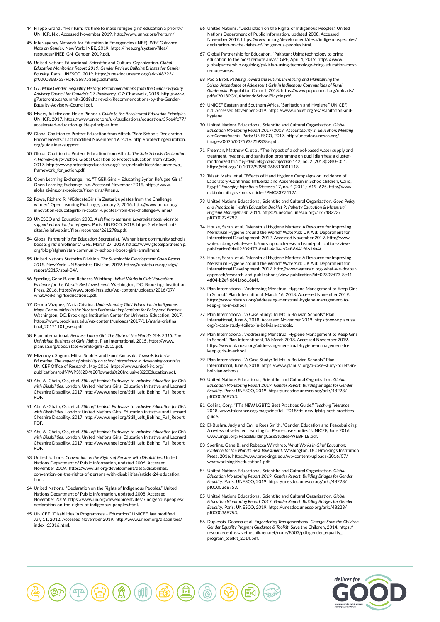- 44 Filippo Grandi. "Her Turn: It's time to make refugee girls' education a priority." UNHCR, N.d. Accessed November 2019. http://www.unhcr.org/herturn/.
- 45 Inter-agency Network for Education in Emergencies (INEE). *INEE Guidance Note on Gender*. New York: INEE, 2019. https://inee.org/system/files/ resources/INEE\_GN\_Gender\_2019.pdf.
- 46 United Nations Educational, Scientific and Cultural Organization. *Global Education Monitoring Report 2019: Gender Review: Building Bridges for Gender Equality*. Paris: UNESCO, 2019. https://unesdoc.unesco.org/ark:/48223/ pf0000368753/PDF/368753eng.pdf.multi.
- 47 G7. *Make Gender Inequality History: Recommendations from the Gender Equality Advisory Council for Canada's G7 Presidency*. G7: Charlevoix, 2018. http://www. g7.utoronto.ca/summit/2018charlevoix/Recommendations-by-the-Gender-Equality-Advisory-Council.pdf.
- 48 Myers, Juliette and Helen Pinnock. *Guide to the Accelerated Education Principles*. UNHCR, 2017. https://www.unhcr.org/uk/publications/education/59ce4fc77/ accelerated-education-guide-principles.html.
- 49 Global Coalition to Protect Education from Attack. "Safe Schools Declaration Endorsements." Last modified November 19, 2019. http://protectingeducation. org/guidelines/support.
- 50 Global Coalition to Protect Education from Attack. *The Safe Schools Declaration: A Framework for Action*. Global Coalition to Protect Education from Attack, 2017. http://www.protectingeducation.org/sites/default/files/documents/a\_ framework for action.pdf
- 51 Open Learning Exchange, Inc. "TIGER Girls Educating Syrian Refugee Girls." Open Learning Exchange, n.d. Accessed November 2019. https://www. globalgiving.org/projects/tiger-girls/#menu.
- 52 Rowe, Richard R. "#EducateGirls in Zaatari; updates from the Challenge winner." Open Learning Exchange, January 7, 2016. http://www.unhcr.org/ innovation/educategirls-in-zaatari-updates-from-the-challenge-winner/.
- 53 UNESCO and Education 2030. *A lifeline to learning: Leveraging technology to support education for refugees*. Paris: UNESCO, 2018. https://reliefweb.int/ sites/reliefweb.int/files/resources/261278e.pdf.
- 54 Global Partnership for Education Secretariat. "Afghanistan: community schools boosts girls' enrollment." GPE, March 27, 2019. https://www.globalpartnership. org/blog/afghanistan-community-schools-boost-girls-enrollment.
- 55 United Nations Statistics Division. *The Sustainable Development Goals Report 2019*. New York: UN Statistics Division, 2019. https://unstats.un.org/sdgs/ report/2019/goal-04/.
- 56 Sperling, Gene B. and Rebecca Winthrop. *What Works in Girls' Education: Evidence for the World's Best Investment*. Washington, DC: Brookings Institution Press, 2016. https://www.brookings.edu/wp-content/uploads/2016/07/ whatworksingirlseducation1.pdf.
- 57 Osorio Vázquez, María Cristina. *Understanding Girls' Education in Indigenous Maya Communities in the Yucatan Peninsula: Implications for Policy and Practice*. Washington, DC: Brookings Institution Center for Universal Education, 2017. https://www.brookings.edu/wp-content/uploads/2017/11/maria-cristina\_ final\_20171101\_web.pdf.
- 58 Plan International. *Because I am a Girl: The State of the World's Girls 2015. The Unfinished Business of Girls' Rights*. Plan International, 2015. https://www. planusa.org/docs/state-worlds-girls-2015.pdf.
- 59 Mizunoya, Suguru, Mitra, Sophie, and Izumi Yamasaki. *Towards Inclusive Education: The impact of disability on school attendance in developing countries*. UNICEF Office of Research, May 2016. https://www.unicef-irc.org/ publications/pdf/IWP3%20-%20Towards%20Inclusive%20Education.pdf.
- 60 Abu Al-Ghaib, Ola, et al. *Still Left behind: Pathways to Inclusive Education for Girls with Disabilities*. London: United Nations Girls' Education Initiative and Leonard Cheshire Disability, 2017. http://www.ungei.org/Still\_Left\_Behind\_Full\_Report. **PDF**
- 61 Abu Al-Ghaib, Ola, et al. *Still Left behind: Pathways to Inclusive Education for Girls with Disabilities*. London: United Nations Girls' Education Initiative and Leonard Cheshire Disability, 2017. http://www.ungei.org/Still\_Left\_Behind\_Full\_Report. PDF.
- 62 Abu Al-Ghaib, Ola, et al. *Still Left behind: Pathways to Inclusive Education for Girls with Disabilities*. London: United Nations Girls' Education Initiative and Leonard Cheshire Disability, 2017. http://www.ungei.org/Still\_Left\_Behind\_Full\_Report. PDF.
- 63 United Nations. *Convention on the Rights of Persons with Disabilities*. United Nations Department of Public Information, updated 2006. Accessed November 2019. https://www.un.org/development/desa/disabilities/ convention-on-the-rights-of-persons-with-disabilities/article-24-education. html.
- 64 United Nations. "Declaration on the Rights of Indigenous Peoples." United Nations Department of Public Information, updated 2008. Accessed November 2019. https://www.un.org/development/desa/indigenouspeoples/ declaration-on-the-rights-of-indigenous-peoples.html.
- 65 UNICEF. "Disabilities in Programmes Education." UNICEF, last modified July 11, 2012. Accessed November 2019. http://www.unicef.org/disabilities/ index\_65316.html.
- 66 United Nations. "Declaration on the Rights of Indigenous Peoples." United Nations Department of Public Information, updated 2008. Accessed November 2019. https://www.un.org/development/desa/indigenouspe declaration-on-the-rights-of-indigenous-peoples.html.
- 67 Global Partnership for Education. "Pakistan: Using technology to bring education to the most remote areas." GPE, April 4, 2019. https://www. globalpartnership.org/blog/pakistan-using-technology-bring-education-mostremote-areas.
- 68 Paola Broll. *Pedaling Toward the Future: Increasing and Maintaining the School Attendance of Adolescent Girls in Indigenous Communities of Rural Guatemala*. Population Council, 2018. https://www.popcouncil.org/uploads/ pdfs/2018PGY\_AbriendoSchoolBicycle.pdf.
- 69 UNICEF Eastern and Southern Africa. "Sanitation and Hygiene." UNICEF, n.d. Accessed November 2019. https://www.unicef.org/esa/sanitation-andhygiene.
- 70 United Nations Educational, Scientific and Cultural Organization. *Global Education Monitoring Report 2017/2018: Accountability in Education: Meeting our Commitments*. Paris: UNESCO, 2017. http://unesdoc.unesco.org/ images/0025/002593/259338e.pdf.
- 71 Freeman, Matthew C. et al. "The impact of a school-based water supply and treatment, hygiene, and sanitation programme on pupil diarrhea: a cluster-randomized trial." *Epidemiology and Infection* 142, no. 2 (2013): 340–351. https://doi.org/10.1017/S0950268813001118.
- 72 Talaat, Maha, et al. "Effects of Hand Hygiene Campaigns on Incidence of Laboratory-Confirmed Influenza and Absenteeism in Schoolchildren, Cairo, Egypt." *Emerging Infectious Diseases* 17, no. 4 (2011): 619–625. http://www. ncbi.nlm.nih.gov/pmc/articles/PMC3377412/.
- 73 United Nations Educational, Scientific and Cultural Organization. *Good Policy and Practice in Health Education Booklet 9: Puberty Education & Menstrual Hygiene Management*. 2014. https://unesdoc.unesco.org/ark:/48223/ pf0000226792.
- 74 House, Sarah, et al. "Menstrual Hygiene Matters: A Resource for Improving Menstrual Hygiene around the World." WaterAid: UK Aid: Department for International Development, 2012. Accessed November 2019. http://www. wateraid.org/what-we-do/our-approach/research-and-publications/view-publication?id=02309d73-8e41-4d04-b2ef-6641f6616a4f.
- 75 House, Sarah, et al. "Menstrual Hygiene Matters: A Resource for Improving Menstrual Hygiene around the World." WaterAid: UK Aid: Department for International Development, 2012. http://www.wateraid.org/what-we-do/ourapproach/research-and-publications/view-publication?id=02309d73-8e41- 4d04-b2ef-6641f6616a4f.
- 76 Plan International. "Addressing Menstrual Hygiene Management to Keep Girls In School." Plan International, March 16, 2018. Accessed November 2019. https://www.planusa.org/addressing-menstrual-hygiene-management-tokeep-girls-in-school.
- 77 Plan International. "A Case Study: Toilets in Bolivian Schools." Plan International, June 6, 2018. Accessed November 2019. https://www.planusa. org/a-case-study-toilets-in-bolivian-schools.
- 78 Plan International. "Addressing Menstrual Hygiene Management to Keep Girls In School." Plan International, 16 March 2018. Accessed November 2019. https://www.planusa.org/addressing-menstrual-hygiene-management-tokeep-girls-in-school.
- 79 Plan International. "A Case Study: Toilets in Bolivian Schools." Plan International, June 6, 2018. https://www.planusa.org/a-case-study-toilets-inbolivian-schools.
- 80 United Nations Educational, Scientific and Cultural Organization. *Global*  **Education Monitoring Report 2019: Gender Report: Building Bridges for Gender** *Equality*. Paris: UNESCO, 2019. https://unesdoc.unesco.org/ark:/48223/ pf0000368753.
- 81 Collins, Cory. "TT's NEW LGBTQ Best Practices Guide." *Teaching Tolerance*, 2018. www.tolerance.org/magazine/fall-2018/tts-new-lgbtq-best-practicesguide.
- 82 El-Bushra, Judy and Emilie Rees Smith. "Gender, Education and Peacebuilding: A review of selected Learning for Peace case studies." UNICEF, June 2016. www.ungei.org/PeaceBuildingCaseStudies-WEBFILE.pdf.
- 83 Sperling, Gene B. and Rebecca Winthrop. *What Works in Girls' Education: Evidence for the World's Best Investment*. Washington, DC: Brookings Institution Press, 2016. https://www.brookings.edu/wp-content/uploads/2016/07/ whatworksingirlseducation1.pdf.
- 84 United Nations Educational, Scientific and Cultural Organization. *Global Education Monitoring Report 2019: Gender Report: Building Bridges for Gender Equality*. Paris: UNESCO, 2019. https://unesdoc.unesco.org/ark:/48223/ pf0000368753.
- 85 United Nations Educational, Scientific and Cultural Organization. *Global Education Monitoring Report 2019: Gender Report: Building Bridges for Gender Equality*. Paris: UNESCO, 2019. https://unesdoc.unesco.org/ark:/48223/ pf0000368753.
- 86 Duplessis, Deanna et al. *Engendering Transformational Change: Save the Children Gender Equality Program Guidance & Toolkit*. Save the Children, 2014. https:// resourcecentre.savethechildren.net/node/8503/pdf/gender\_equality\_ program\_toolkit\_2014.pdf.

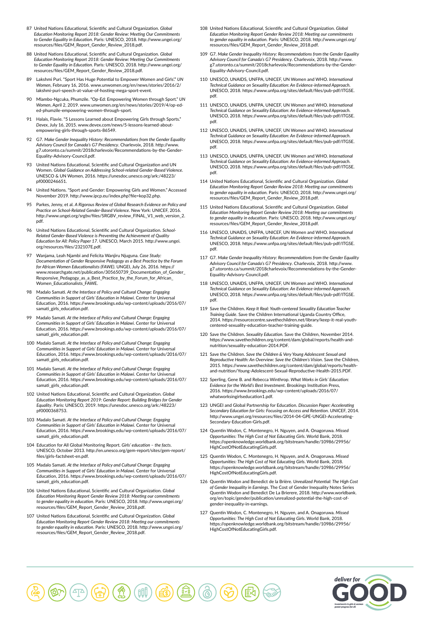- 87 United Nations Educational, Scientific and Cultural Organization. *Global Education Monitoring Report 2018: Gender Review: Meeting Our Commitments to Gender Equality in Education*. Paris: UNESCO, 2018. http://www.ungei.org/ resources/files/GEM\_Report\_Gender\_Review\_2018.pdf.
- 88 United Nations Educational, Scientific and Cultural Organization. *Global Education Monitoring Report 2018: Gender Review: Meeting Our Commitments to Gender Equality in Education*. Paris: UNESCO, 2018. http://www.ungei.org/ ources/files/GEM\_Report\_Gender\_Review\_2018.pdf.
- 89 Lakshmi Puri. "Sport Has Huge Potential to Empower Women and Girls'." *UN Women*, February 16, 2016. www.unwomen.org/en/news/stories/2016/2/ lakshmi-puri-speech-at-value-of-hosting-mega-sport-event.
- 90 Mlambo-Ngcuka, Phumzile. "Op-Ed: Empowering Women through Sport." *UN Women*, April 2, 2019. www.unwomen.org/en/news/stories/2019/4/op-eded-phumzile-empowering-women-through-sport.
- 91 Halais, Flavie. "5 Lessons Learned about Empowering Girls through Sports." *Devex*, July 16, 2015. www.devex.com/news/5-lessons-learned-aboutempowering-girls-through-sports-86549.
- 92 G7. *Make Gender Inequality History: Recommendations from the Gender Equality Advisory Council for Canada's G7 Presidency*. Charlevoix, 2018. http://www. g7.utoronto.ca/summit/2018charlevoix/Recommendations-by-the-Gender-Equality-Advisory-Council.pdf.
- 93 United Nations Educational, Scientific and Cultural Organization and UN Women. *Global Guidance on Addressing School-related Gender-Based Violence*. UNESCO & UN Women, 2016. https://unesdoc.unesco.org/ark:/48223/ pf0000246651.
- United Nations. "Sport and Gender: Empowering Girls and Women." Accessed November 2019. http://www.ipcp.eu/index.php?file=kop32.php.
- 95 Parkes, Jenny, et al. *A Rigorous Review of Global Research Evidence on Policy and Practice on School-Related Gender-Based Violence*. New York: UNICEF, 2016. http://www.ungei.org/srgbv/files/SRGBV\_review\_FINAL\_V1\_web\_version\_2. pdf.
- 96 United Nations Educational, Scientific and Cultural Organization. *School-Related Gender-Based Violence is Preventing the Achievement of Quality Education for All: Policy Paper 17*. UNESCO, March 2015. http://www.ungei. org/resources/files/232107E.pdf.
- 97 Wanjama, Leah Njambi and Felicita Wanjiru Njuguna. *Case Study: Documentation of Gender Responsive Pedagogy as a Best Practice by the Forum for African Women Educationalists (FAWE)*. UNGEI, July 26, 2016. https:// www.researchgate.net/publication/305650739\_Documentation\_of\_Gender Responsive\_Pedagogy\_as\_a\_Best\_Practice\_by\_the\_Forum\_for\_African\_ Women\_Educationalists\_FAWE.
- 98 Madalo Samati. *At the Interface of Policy and Cultural Change: Engaging*  **Communities in Support of Girls' Education in Malawi. Center for Unive** Education, 2016. https://www.brookings.edu/wp-content/uploads/2016/07/ samati\_girls\_education.pdf.
- 99 Madalo Samati. *At the Interface of Policy and Cultural Change: Engaging Communities in Support of Girls' Education in Malawi*. Center for Universal Education, 2016. https://www.brookings.edu/wp-content/uploads/2016/07/ samati\_girls\_education.pdf.
- 100 Madalo Samati. *At the Interface of Policy and Cultural Change: Engaging Communities in Support of Girls' Education in Malawi*. Center for Universal Education, 2016. https://www.brookings.edu/wp-content/uploads/2016/07/ samati\_girls\_education.pdf.
- 101 Madalo Samati. *At the Interface of Policy and Cultural Change: Engaging Communities in Support of Girls' Education in Malawi*. Center for Universal Education, 2016. https://www.brookings.edu/wp-content/uploads/2016/07/ samati\_girls\_education.pdf
- 102 United Nations Educational, Scientific and Cultural Organization. *Global Education Monitoring Report 2019: Gender Report: Building Bridges for Gender Equality*. Paris: UNESCO, 2019. https://unesdoc.unesco.org/ark:/48223/ pf0000368753.
- 103 Madalo Samati. *At the Interface of Policy and Cultural Change: Engaging Communities in Support of Girls' Education in Malawi*. Center for Universal Education, 2016. https://www.brookings.edu/wp-content/uploads/2016/07/ samati\_girls\_education.pdf.
- 104 Education for All Global Monitoring Report. *Girls' education the facts*. UNESCO, October 2013. http://en.unesco.org/gem-report/sites/gem-report/ files/girls-factsheet-en.pdf.
- 105 Madalo Samati. *At the Interface of Policy and Cultural Change: Engaging Communities in Support of Girls' Education in Malawi*. Center for Universal Education, 2016. https://www.brookings.edu/wp-content/uploads/2016/07/ samati\_girls\_education.pdf.
- 106 United Nations Educational, Scientific and Cultural Organization. *Global Education Monitoring Report Gender Review 2018: Meeting our commitments to gender equality in education*. Paris: UNESCO, 2018. http://www.ungei.org/ resources/files/GEM\_Report\_Gender\_Review\_2018.pdf.
- 107 United Nations Educational, Scientific and Cultural Organization. *Global Education Monitoring Report Gender Review 2018: Meeting our commitments to gender equality in education*. Paris: UNESCO, 2018. http://www.ungei.org/ resources/files/GEM\_Report\_Gender\_Review\_2018.pdf.
- 108 United Nations Educational, Scientific and Cultural Organization. *Global Education Monitoring Report Gender Review 2018: Meeting our commitments to gender equality in education*. Paris: UNESCO, 2018. http://www.ungei.org/ resources/files/GEM\_Report\_Gender\_Review\_2018.pdf.
- 109 G7. *Make Gender Inequality History: Recommendations from the Gender Equality Advisory Council for Canada's G7 Presidency*. Charlevoix, 2018. http://www. g7.utoronto.ca/summit/2018charlevoix/Recommendations-by-the-Gender-Equality-Advisory-Council.pdf.
- 110 UNESCO, UNAIDS, UNFPA, UNICEF, UN Women and WHO. *International Technical Guidance on Sexuality Education: An Evidence-informed Approach*. UNESCO, 2018. https://www.unfpa.org/sites/default/files/pub-pdf/ITGSE. pdf.
- 111 UNESCO, UNAIDS, UNFPA, UNICEF, UN Women and WHO. *International Technical Guidance on Sexuality Education: An Evidence-informed Approach*. UNESCO, 2018. https://www.unfpa.org/sites/default/files/pub-pdf/ITGSE. pdf.
- 112 UNESCO, UNAIDS, UNFPA, UNICEF, UN Women and WHO. *International Technical Guidance on Sexuality Education: An Evidence-informed Approach*. UNESCO, 2018. https://www.unfpa.org/sites/default/files/pub-pdf/ITGSE. pdf.
- 113 UNESCO, UNAIDS, UNFPA, UNICEF, UN Women and WHO. *International Technical Guidance on Sexuality Education: An Evidence-informed Approach*. UNESCO, 2018. https://www.unfpa.org/sites/default/files/pub-pdf/ITGSE. pdf.
- 114 United Nations Educational, Scientific and Cultural Organization. *Global Education Monitoring Report Gender Review 2018: Meeting our commitments to gender equality in education*. Paris: UNESCO, 2018. http://www.ungei.org/ resources/files/GEM\_Report\_Gender\_Review\_2018.pdf.
- 115 United Nations Educational, Scientific and Cultural Organization. *Global Education Monitoring Report Gender Review 2018: Meeting our commitments to gender equality in education*. Paris: UNESCO, 2018. http://www.ungei.org/ resources/files/GEM\_Report\_Gender\_Review\_2018.pdf.
- 116 UNESCO, UNAIDS, UNFPA, UNICEF, UN Women and WHO. *International Technical Guidance on Sexuality Education: An Evidence-informed Approach*. UNESCO, 2018. https://www.unfpa.org/sites/default/files/pub-pdf/ITGSE. pdf.
- 117 G7. *Make Gender Inequality History: Recommendations from the Gender Equality Advisory Council for Canada's G7 Presidency*. Charlevoix, 2018. http://www. g7.utoronto.ca/summit/2018charlevoix/Recommendations-by-the-Gender-Equality-Advisory-Council.pdf.
- 118 UNESCO, UNAIDS, UNFPA, UNICEF, UN Women and WHO. *International Technical Guidance on Sexuality Education: An Evidence-informed Approach*. UNESCO, 2018. https://www.unfpa.org/sites/default/files/pub-pdf/ITGSE. pdf.
- 119 Save the Children. *Keep It Real: Youth-centered Sexuality Education Teacher Training Guide*. Save the Children International Uganda Country Office, 2014. https://resourcecentre.savethechildren.net/library/keep-it-real-youthcentered-sexuality-education-teacher-training-guide.
- 120 Save the Children. *Sexuality Education*. Save the Children, November 2014. https://www.savethechildren.org/content/dam/global/reports/health-andnutrition/sexuality-education-2014.PDF.
- 121 Save the Children. *Save the Children & Very Young Adolescent Sexual and Reproductive Health: An Overview: Save the Children's Vision*. Save the Children, 2015. https://www.savethechildren.org/content/dam/global/reports/healthand-nutrition/Young-Adolescent-Sexual-Reproductive-Health-2015.PDF.
- 122 Sperling, Gene B. and Rebecca Winthrop. *What Works in Girls' Education: Evidence for the World's Best Investment*. Brookings Institution Press, 2016. https://www.brookings.edu/wp-content/uploads/2016/07/ whatworksingirlseducation1.pdf.
- 123 UNGEI and Global Partnership for Education. *Discussion Paper: Accelerating Secondary Education for Girls: Focusing on Access and Retention*. UNICEF, 2014. http://www.ungei.org/resources/files/2014-04-GPE-UNGEI-Acceleratingondary-Education-Girls.pdf.
- 124 Quentin Wodon, C. Montenegro, H. Nguyen, and A. Onagoruwa. *Missed Opportunities: The High Cost of Not Educating Girls*. World Bank, 2018. https://openknowledge.worldbank.org/bitstream/handle/10986/29956/ HighCostOfNotEducatingGirls.pdf.
- 125 Quentin Wodon, C. Montenegro, H. Nguyen, and A. Onagoruwa. *Missed Opportunities: The High Cost of Not Educating Girls*. World Bank, 2018. https://openknowledge.worldbank.org/bitstream/handle/10986/29956/ HighCostOfNotEducatingGirls.pdf.
- 126 Quentin Wodon and Benedict de la Brière. *Unrealized Potential: The High Cost of Gender Inequality in Earnings*. The Cost of Gender Inequality Notes Series Quentin Wodon and Benedict De La Brierere, 2018. http://www.worldbank. org/en/topic/gender/publication/unrealized-potential-the-high-cost-ofgender-inequality-in-earnings.
- 127 Quentin Wodon, C. Montenegro, H. Nguyen, and A. Onagoruwa. *Missed Opportunities: The High Cost of Not Educating Girls*. World Bank, 2018. https://openknowledge.worldbank.org/bitstream/handle/10986/29956/ HighCostOfNotEducatingGirls.pdf.